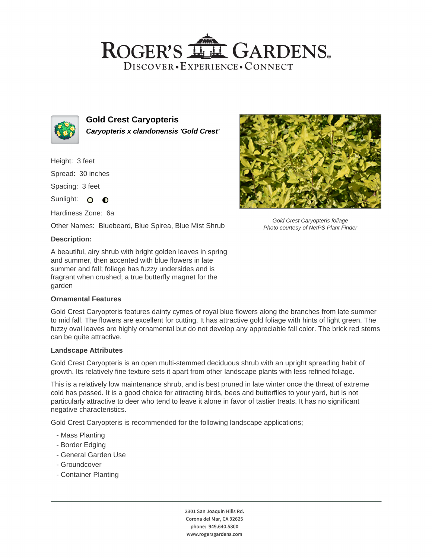## ROGER'S LL GARDENS. DISCOVER · EXPERIENCE · CONNECT



**Gold Crest Caryopteris Caryopteris x clandonensis 'Gold Crest'**

Height: 3 feet Spread: 30 inches

Spacing: 3 feet

Sunlight: O  $\bullet$ 

Hardiness Zone: 6a

Other Names: Bluebeard, Blue Spirea, Blue Mist Shrub

### **Description:**

A beautiful, airy shrub with bright golden leaves in spring and summer, then accented with blue flowers in late summer and fall; foliage has fuzzy undersides and is fragrant when crushed; a true butterfly magnet for the garden

## **Ornamental Features**

Gold Crest Caryopteris features dainty cymes of royal blue flowers along the branches from late summer to mid fall. The flowers are excellent for cutting. It has attractive gold foliage with hints of light green. The fuzzy oval leaves are highly ornamental but do not develop any appreciable fall color. The brick red stems can be quite attractive.

#### **Landscape Attributes**

Gold Crest Caryopteris is an open multi-stemmed deciduous shrub with an upright spreading habit of growth. Its relatively fine texture sets it apart from other landscape plants with less refined foliage.

This is a relatively low maintenance shrub, and is best pruned in late winter once the threat of extreme cold has passed. It is a good choice for attracting birds, bees and butterflies to your yard, but is not particularly attractive to deer who tend to leave it alone in favor of tastier treats. It has no significant negative characteristics.

Gold Crest Caryopteris is recommended for the following landscape applications;

- Mass Planting
- Border Edging
- General Garden Use
- Groundcover
- Container Planting



Gold Crest Caryopteris foliage Photo courtesy of NetPS Plant Finder

2301 San Joaquin Hills Rd. Corona del Mar, CA 92625 phone: 949.640.5800 www.rogersgardens.com